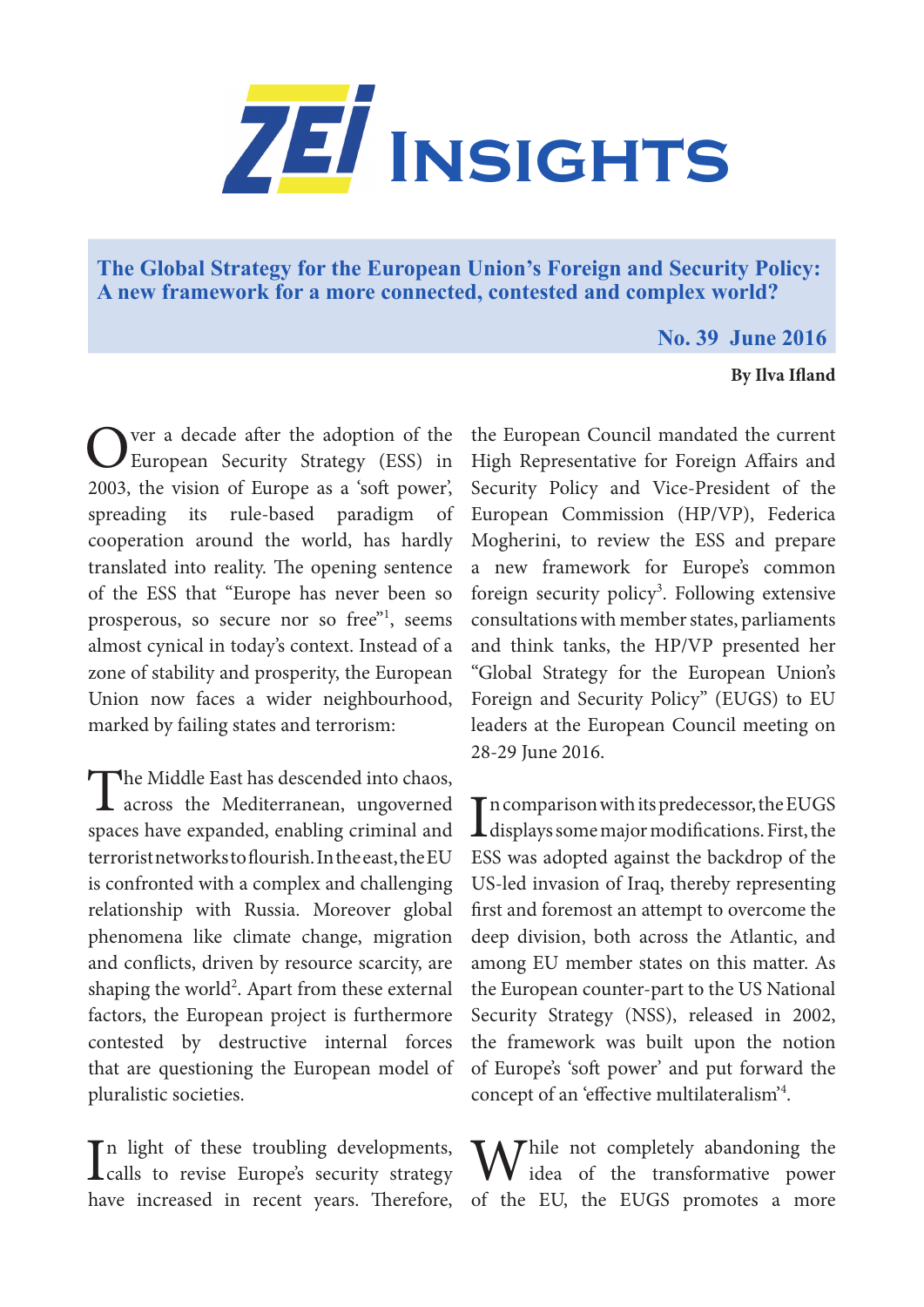

**The Global Strategy for the European Union's Foreign and Security Policy: A new framework for a more connected, contested and complex world?**

## **No. 39 June 2016**

## **By Ilva Ifland**

Over a decade after the adoption of the European Security Strategy (ESS) in 2003, the vision of Europe as a 'soft power', spreading its rule-based paradigm of cooperation around the world, has hardly translated into reality. The opening sentence of the ESS that "Europe has never been so prosperous, so secure nor so free"<sup>1</sup>, seems almost cynical in today's context. Instead of a zone of stability and prosperity, the European Union now faces a wider neighbourhood, marked by failing states and terrorism:

The Middle East has descended into chaos, **L** across the Mediterranean, ungoverned spaces have expanded, enabling criminal and terrorist networks to flourish. In the east, the EU is confronted with a complex and challenging relationship with Russia. Moreover global phenomena like climate change, migration and conflicts, driven by resource scarcity, are shaping the world<sup>2</sup>. Apart from these external factors, the European project is furthermore contested by destructive internal forces that are questioning the European model of pluralistic societies.

In light of these troubling developments,<br>
calls to revise Europe's security strategy In light of these troubling developments,

the European Council mandated the current High Representative for Foreign Affairs and Security Policy and Vice-President of the European Commission (HP/VP), Federica Mogherini, to review the ESS and prepare a new framework for Europe's common foreign security policy<sup>3</sup>. Following extensive consultations with member states, parliaments and think tanks, the HP/VP presented her "Global Strategy for the European Union's Foreign and Security Policy" (EUGS) to EU leaders at the European Council meeting on 28-29 June 2016.

In comparison with its predecessor, the EUGS<br>displays some major modifications. First, the In comparison with its predecessor, the EUGS ESS was adopted against the backdrop of the US-led invasion of Iraq, thereby representing first and foremost an attempt to overcome the deep division, both across the Atlantic, and among EU member states on this matter. As the European counter-part to the US National Security Strategy (NSS), released in 2002, the framework was built upon the notion of Europe's 'soft power' and put forward the concept of an 'effective multilateralism'4 .

have increased in recent years. Therefore, of the EU, the EUGS promotes a more **MA** Thile not completely abandoning the idea of the transformative power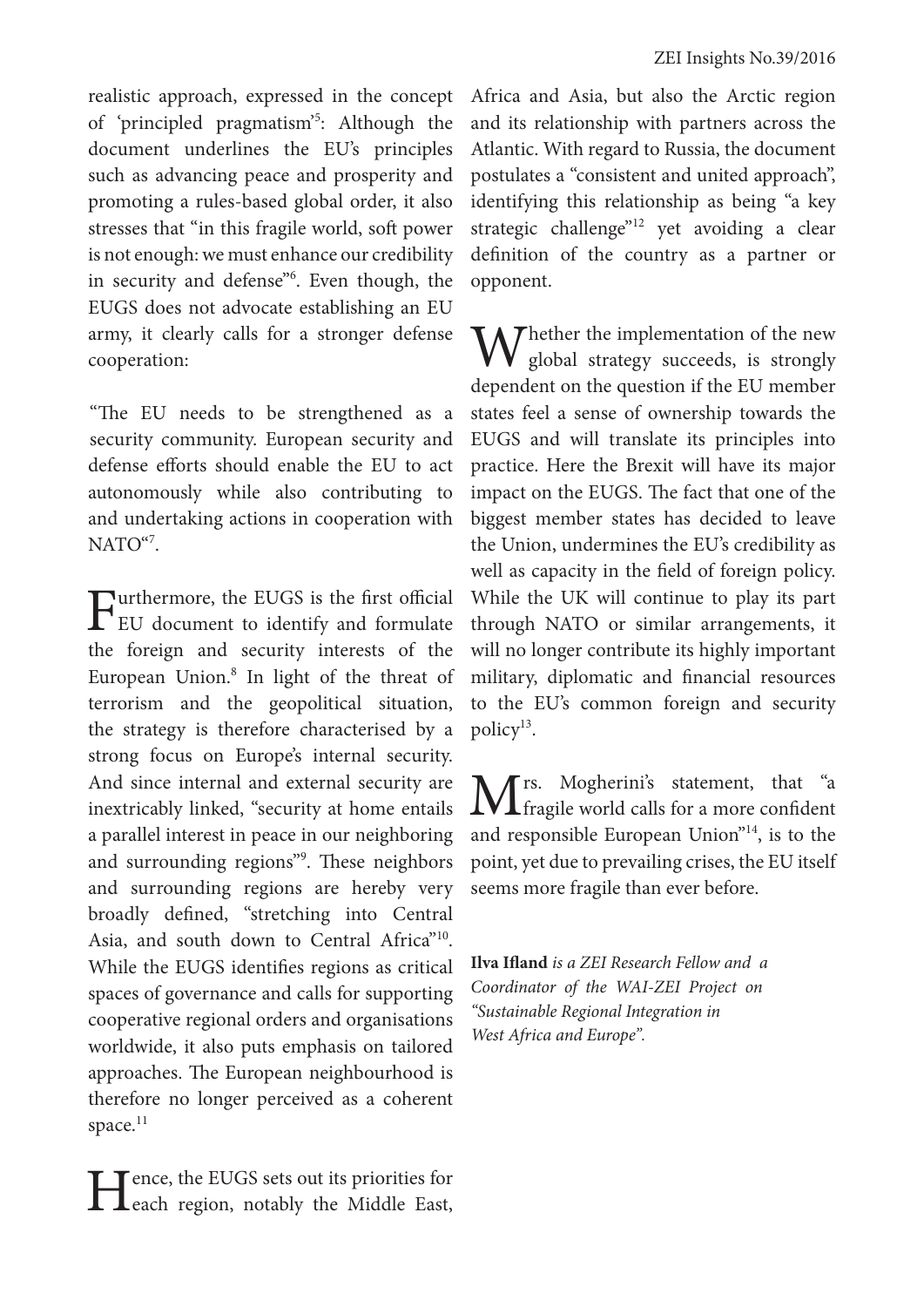realistic approach, expressed in the concept of 'principled pragmatism'<sup>5</sup>: Although the document underlines the EU's principles such as advancing peace and prosperity and promoting a rules-based global order, it also stresses that "in this fragile world, soft power is not enough: we must enhance our credibility in security and defense<sup>36</sup>. Even though, the EUGS does not advocate establishing an EU army, it clearly calls for a stronger defense cooperation:

"The EU needs to be strengthened as a security community. European security and "The EU needs to be strengthened as a defense efforts should enable the EU to act autonomously while also contributing to and undertaking actions in cooperation with NATO"<sup>7</sup>.

Furthermore, the EUGS is the first official<br>EU document to identify and formulate the foreign and security interests of the European Union.<sup>8</sup> In light of the threat of terrorism and the geopolitical situation, the strategy is therefore characterised by a strong focus on Europe's internal security. And since internal and external security are inextricably linked, "security at home entails a parallel interest in peace in our neighboring and surrounding regions"9 . These neighbors and surrounding regions are hereby very broadly defined, "stretching into Central Asia, and south down to Central Africa<sup>"10</sup>. While the EUGS identifies regions as critical spaces of governance and calls for supporting cooperative regional orders and organisations worldwide, it also puts emphasis on tailored approaches. The European neighbourhood is therefore no longer perceived as a coherent space.<sup>11</sup>

Hence, the EUGS sets out its priorities for each region, notably the Middle East,

Africa and Asia, but also the Arctic region and its relationship with partners across the Atlantic. With regard to Russia, the document postulates a "consistent and united approach", identifying this relationship as being "a key strategic challenge"<sup>12</sup> yet avoiding a clear definition of the country as a partner or opponent.

Whether the implementation of the new global strategy succeeds, is strongly dependent on the question if the EU member states feel a sense of ownership towards the EUGS and will translate its principles into practice. Here the Brexit will have its major impact on the EUGS. The fact that one of the biggest member states has decided to leave the Union, undermines the EU's credibility as well as capacity in the field of foreign policy. While the UK will continue to play its part through NATO or similar arrangements, it will no longer contribute its highly important military, diplomatic and financial resources to the EU's common foreign and security policy<sup>13</sup>.

Mrs. Mogherini's statement, that "a<br>fragile world calls for a more confident and responsible European Union"14, is to the point, yet due to prevailing crises, the EU itself seems more fragile than ever before.

**Ilva Ifland** *is a ZEI Research Fellow and a Coordinator of the WAI-ZEI Project on "Sustainable Regional Integration in West Africa and Europe".*